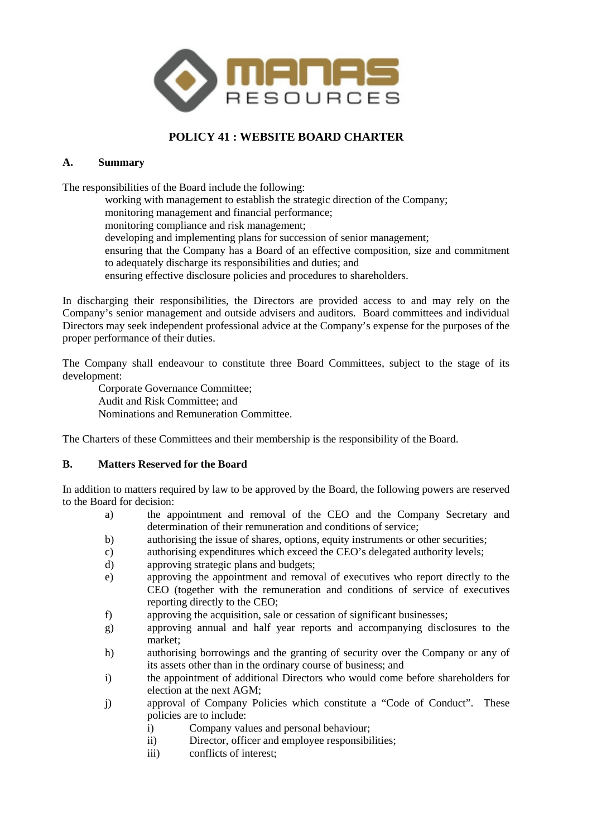

# **POLICY 41 : WEBSITE BOARD CHARTER**

## **A. Summary**

The responsibilities of the Board include the following:

working with management to establish the strategic direction of the Company; monitoring management and financial performance; monitoring compliance and risk management; developing and implementing plans for succession of senior management; ensuring that the Company has a Board of an effective composition, size and commitment to adequately discharge its responsibilities and duties; and ensuring effective disclosure policies and procedures to shareholders.

In discharging their responsibilities, the Directors are provided access to and may rely on the Company's senior management and outside advisers and auditors. Board committees and individual Directors may seek independent professional advice at the Company's expense for the purposes of the proper performance of their duties.

The Company shall endeavour to constitute three Board Committees, subject to the stage of its development:

Corporate Governance Committee; Audit and Risk Committee; and Nominations and Remuneration Committee.

The Charters of these Committees and their membership is the responsibility of the Board.

# **B. Matters Reserved for the Board**

In addition to matters required by law to be approved by the Board, the following powers are reserved to the Board for decision:

- a) the appointment and removal of the CEO and the Company Secretary and determination of their remuneration and conditions of service;
- b) authorising the issue of shares, options, equity instruments or other securities;
- c) authorising expenditures which exceed the CEO's delegated authority levels;
- d) approving strategic plans and budgets;
- e) approving the appointment and removal of executives who report directly to the CEO (together with the remuneration and conditions of service of executives reporting directly to the CEO;
- f) approving the acquisition, sale or cessation of significant businesses;
- g) approving annual and half year reports and accompanying disclosures to the market;
- h) authorising borrowings and the granting of security over the Company or any of its assets other than in the ordinary course of business; and
- i) the appointment of additional Directors who would come before shareholders for election at the next AGM;
- j) approval of Company Policies which constitute a "Code of Conduct". These policies are to include:
	- i) Company values and personal behaviour;
	- ii) Director, officer and employee responsibilities;
	- iii) conflicts of interest;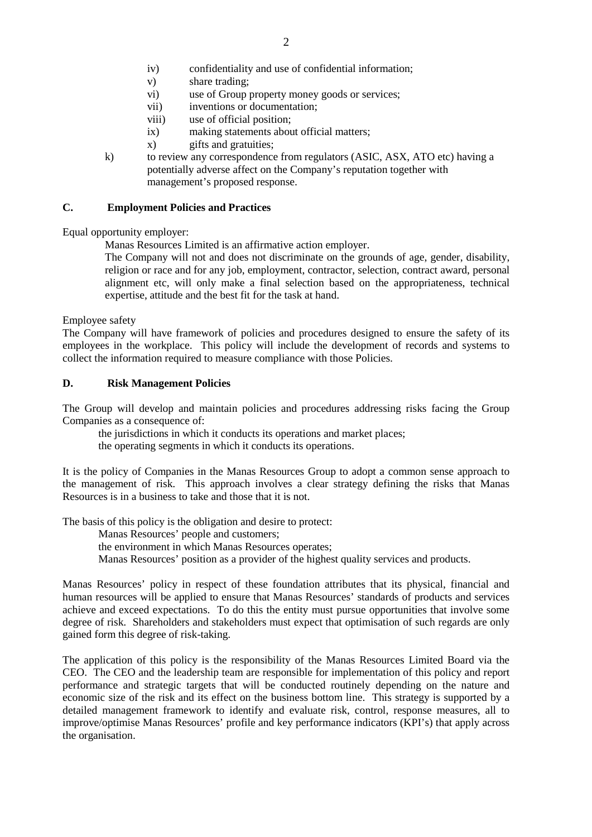- iv) confidentiality and use of confidential information;
- v) share trading;
- vi) use of Group property money goods or services;
- vii) inventions or documentation;
- viii) use of official position;
- ix) making statements about official matters;
- x) gifts and gratuities;
- k) to review any correspondence from regulators (ASIC, ASX, ATO etc) having a potentially adverse affect on the Company's reputation together with management's proposed response.

#### **C. Employment Policies and Practices**

Equal opportunity employer:

Manas Resources Limited is an affirmative action employer.

The Company will not and does not discriminate on the grounds of age, gender, disability, religion or race and for any job, employment, contractor, selection, contract award, personal alignment etc, will only make a final selection based on the appropriateness, technical expertise, attitude and the best fit for the task at hand.

Employee safety

The Company will have framework of policies and procedures designed to ensure the safety of its employees in the workplace. This policy will include the development of records and systems to collect the information required to measure compliance with those Policies.

#### **D. Risk Management Policies**

The Group will develop and maintain policies and procedures addressing risks facing the Group Companies as a consequence of:

the jurisdictions in which it conducts its operations and market places; the operating segments in which it conducts its operations.

It is the policy of Companies in the Manas Resources Group to adopt a common sense approach to the management of risk. This approach involves a clear strategy defining the risks that Manas Resources is in a business to take and those that it is not.

The basis of this policy is the obligation and desire to protect:

Manas Resources' people and customers;

the environment in which Manas Resources operates;

Manas Resources' position as a provider of the highest quality services and products.

Manas Resources' policy in respect of these foundation attributes that its physical, financial and human resources will be applied to ensure that Manas Resources' standards of products and services achieve and exceed expectations. To do this the entity must pursue opportunities that involve some degree of risk. Shareholders and stakeholders must expect that optimisation of such regards are only gained form this degree of risk-taking.

The application of this policy is the responsibility of the Manas Resources Limited Board via the CEO. The CEO and the leadership team are responsible for implementation of this policy and report performance and strategic targets that will be conducted routinely depending on the nature and economic size of the risk and its effect on the business bottom line. This strategy is supported by a detailed management framework to identify and evaluate risk, control, response measures, all to improve/optimise Manas Resources' profile and key performance indicators (KPI's) that apply across the organisation.